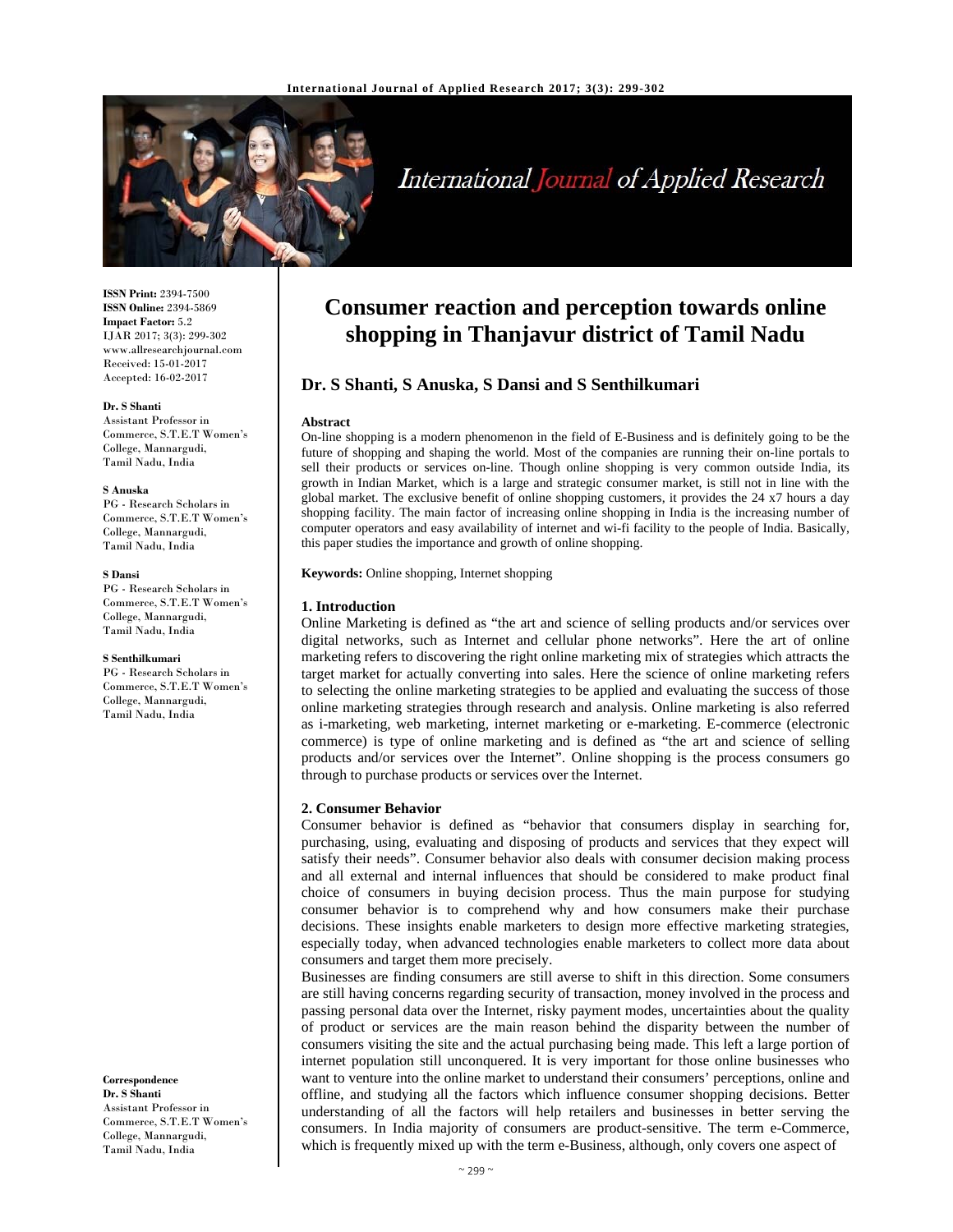

# International Journal of Applied Research

**ISSN Print:** 2394-7500 **ISSN Online:** 2394-5869 **Impact Factor:** 5.2 IJAR 2017; 3(3): 299-302 www.allresearchjournal.com Received: 15-01-2017 Accepted: 16-02-2017

#### **Dr. S Shanti**

Assistant Professor in Commerce, S.T.E.T Women's College, Mannargudi, Tamil Nadu, India

#### **S Anuska**

PG - Research Scholars in Commerce, S.T.E.T Women's College, Mannargudi, Tamil Nadu, India

#### **S Dansi**

PG - Research Scholars in Commerce, S.T.E.T Women's College, Mannargudi, Tamil Nadu, India

#### **S Senthilkumari**

PG - Research Scholars in Commerce, S.T.E.T Women's College, Mannargudi, Tamil Nadu, India

**Correspondence Dr. S Shanti**  Assistant Professor in Commerce, S.T.E.T Women's College, Mannargudi, Tamil Nadu, India

# **Consumer reaction and perception towards online shopping in Thanjavur district of Tamil Nadu**

# **Dr. S Shanti, S Anuska, S Dansi and S Senthilkumari**

#### **Abstract**

On-line shopping is a modern phenomenon in the field of E-Business and is definitely going to be the future of shopping and shaping the world. Most of the companies are running their on-line portals to sell their products or services on-line. Though online shopping is very common outside India, its growth in Indian Market, which is a large and strategic consumer market, is still not in line with the global market. The exclusive benefit of online shopping customers, it provides the 24 x7 hours a day shopping facility. The main factor of increasing online shopping in India is the increasing number of computer operators and easy availability of internet and wi-fi facility to the people of India. Basically, this paper studies the importance and growth of online shopping.

**Keywords:** Online shopping, Internet shopping

# **1. Introduction**

Online Marketing is defined as "the art and science of selling products and/or services over digital networks, such as Internet and cellular phone networks". Here the art of online marketing refers to discovering the right online marketing mix of strategies which attracts the target market for actually converting into sales. Here the science of online marketing refers to selecting the online marketing strategies to be applied and evaluating the success of those online marketing strategies through research and analysis. Online marketing is also referred as i-marketing, web marketing, internet marketing or e-marketing. E-commerce (electronic commerce) is type of online marketing and is defined as "the art and science of selling products and/or services over the Internet". Online shopping is the process consumers go through to purchase products or services over the Internet.

#### **2. Consumer Behavior**

Consumer behavior is defined as "behavior that consumers display in searching for, purchasing, using, evaluating and disposing of products and services that they expect will satisfy their needs". Consumer behavior also deals with consumer decision making process and all external and internal influences that should be considered to make product final choice of consumers in buying decision process. Thus the main purpose for studying consumer behavior is to comprehend why and how consumers make their purchase decisions. These insights enable marketers to design more effective marketing strategies, especially today, when advanced technologies enable marketers to collect more data about consumers and target them more precisely.

Businesses are finding consumers are still averse to shift in this direction. Some consumers are still having concerns regarding security of transaction, money involved in the process and passing personal data over the Internet, risky payment modes, uncertainties about the quality of product or services are the main reason behind the disparity between the number of consumers visiting the site and the actual purchasing being made. This left a large portion of internet population still unconquered. It is very important for those online businesses who want to venture into the online market to understand their consumers' perceptions, online and offline, and studying all the factors which influence consumer shopping decisions. Better understanding of all the factors will help retailers and businesses in better serving the consumers. In India majority of consumers are product-sensitive. The term e-Commerce, which is frequently mixed up with the term e-Business, although, only covers one aspect of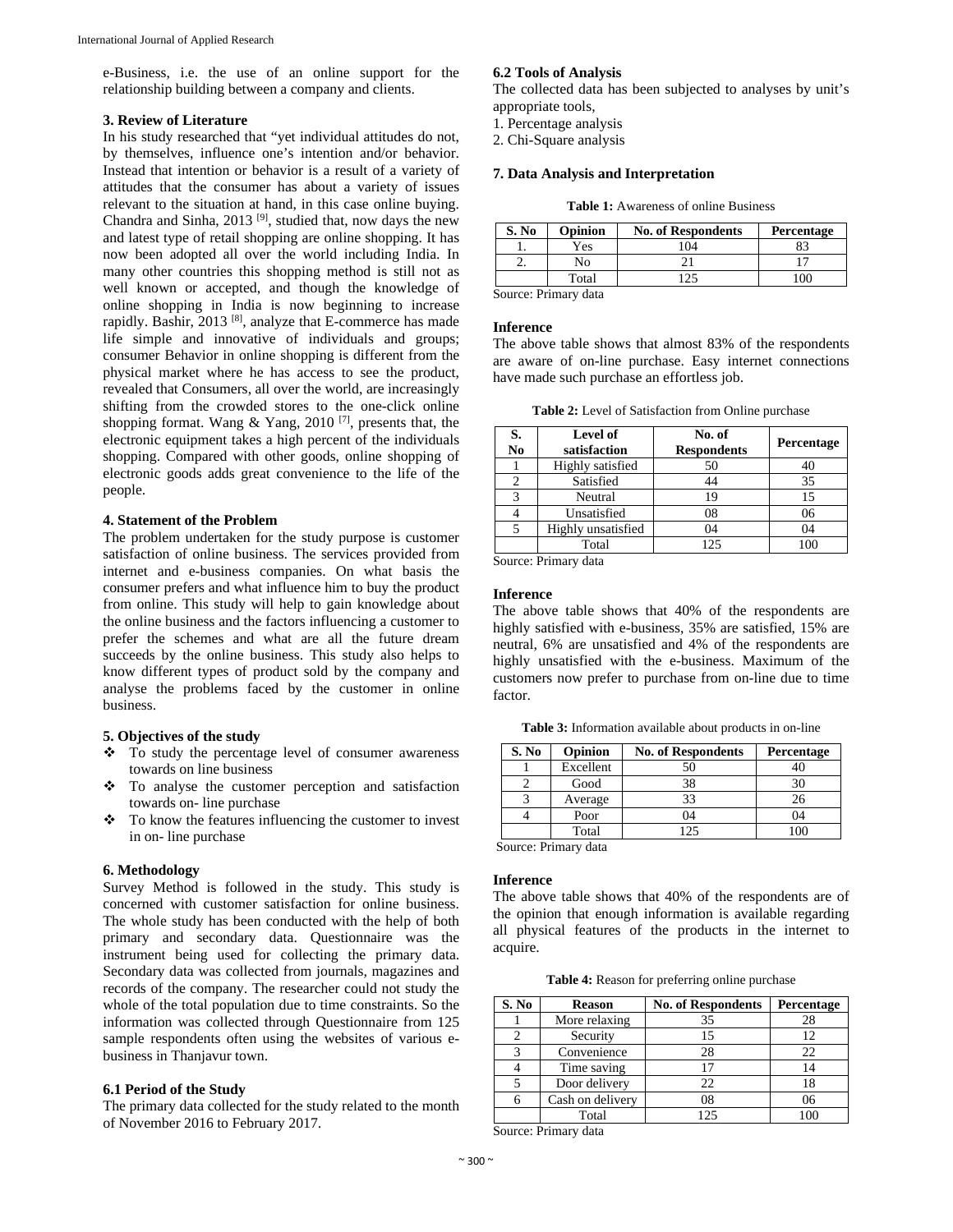e-Business, i.e. the use of an online support for the relationship building between a company and clients.

# **3. Review of Literature**

In his study researched that "yet individual attitudes do not, by themselves, influence one's intention and/or behavior. Instead that intention or behavior is a result of a variety of attitudes that the consumer has about a variety of issues relevant to the situation at hand, in this case online buying. Chandra and Sinha, 2013 [9], studied that, now days the new and latest type of retail shopping are online shopping. It has now been adopted all over the world including India. In many other countries this shopping method is still not as well known or accepted, and though the knowledge of online shopping in India is now beginning to increase rapidly. Bashir, 2013 [8], analyze that E-commerce has made life simple and innovative of individuals and groups; consumer Behavior in online shopping is different from the physical market where he has access to see the product, revealed that Consumers, all over the world, are increasingly shifting from the crowded stores to the one-click online shopping format. Wang & Yang, 2010<sup>[7]</sup>, presents that, the electronic equipment takes a high percent of the individuals shopping. Compared with other goods, online shopping of electronic goods adds great convenience to the life of the people.

#### **4. Statement of the Problem**

The problem undertaken for the study purpose is customer satisfaction of online business. The services provided from internet and e-business companies. On what basis the consumer prefers and what influence him to buy the product from online. This study will help to gain knowledge about the online business and the factors influencing a customer to prefer the schemes and what are all the future dream succeeds by the online business. This study also helps to know different types of product sold by the company and analyse the problems faced by the customer in online business.

# **5. Objectives of the study**

- $\div$  To study the percentage level of consumer awareness towards on line business
- To analyse the customer perception and satisfaction towards on- line purchase
- To know the features influencing the customer to invest in on- line purchase

# **6. Methodology**

Survey Method is followed in the study. This study is concerned with customer satisfaction for online business. The whole study has been conducted with the help of both primary and secondary data. Questionnaire was the instrument being used for collecting the primary data. Secondary data was collected from journals, magazines and records of the company. The researcher could not study the whole of the total population due to time constraints. So the information was collected through Questionnaire from 125 sample respondents often using the websites of various ebusiness in Thanjavur town.

#### **6.1 Period of the Study**

The primary data collected for the study related to the month of November 2016 to February 2017.

# **6.2 Tools of Analysis**

The collected data has been subjected to analyses by unit's appropriate tools,

- 1. Percentage analysis
- 2. Chi-Square analysis

# **7. Data Analysis and Interpretation**

Table 1: Awareness of online Business

| S. No | <b>Opinion</b> | <b>No. of Respondents</b> | Percentage |
|-------|----------------|---------------------------|------------|
|       | Yes            | 04                        |            |
|       | N٥             |                           |            |
|       | Total          |                           | 00         |

Source: Primary data

#### **Inference**

The above table shows that almost 83% of the respondents are aware of on-line purchase. Easy internet connections have made such purchase an effortless job.

| S.<br>N <sub>0</sub> | <b>Level of</b><br>satisfaction | No. of<br><b>Respondents</b> | Percentage |
|----------------------|---------------------------------|------------------------------|------------|
|                      | Highly satisfied                | 50                           | 40         |
|                      | Satisfied                       |                              | 35         |
| 3                    | Neutral                         | 19                           | 15         |
|                      | Unsatisfied                     | 08                           | 06         |
|                      | Highly unsatisfied              | 04                           | 04         |
|                      | Total                           | 125                          | 10C        |

Source: Primary data

# **Inference**

The above table shows that 40% of the respondents are highly satisfied with e-business, 35% are satisfied, 15% are neutral, 6% are unsatisfied and 4% of the respondents are highly unsatisfied with the e-business. Maximum of the customers now prefer to purchase from on-line due to time factor.

**Table 3:** Information available about products in on-line

| S. No | Opinion   | <b>No. of Respondents</b> | Percentage |
|-------|-----------|---------------------------|------------|
|       | Excellent | 50                        |            |
|       | Good      | 38                        |            |
|       | Average   | 33                        | 26         |
|       | Poor      | 04                        | 04         |
|       | Total     | 125                       |            |

Source: Primary data

#### **Inference**

The above table shows that 40% of the respondents are of the opinion that enough information is available regarding all physical features of the products in the internet to acquire.

**Table 4:** Reason for preferring online purchase

| S. No | <b>Reason</b>    | <b>No. of Respondents</b> | Percentage |
|-------|------------------|---------------------------|------------|
|       | More relaxing    | 35                        | 28         |
|       | Security         |                           | 12         |
| 3     | Convenience      | 28                        | 22         |
|       | Time saving      |                           | 14         |
|       | Door delivery    | 22                        | 18         |
| 6     | Cash on delivery | 08                        | 06         |
|       | Total            | 125                       |            |

Source: Primary data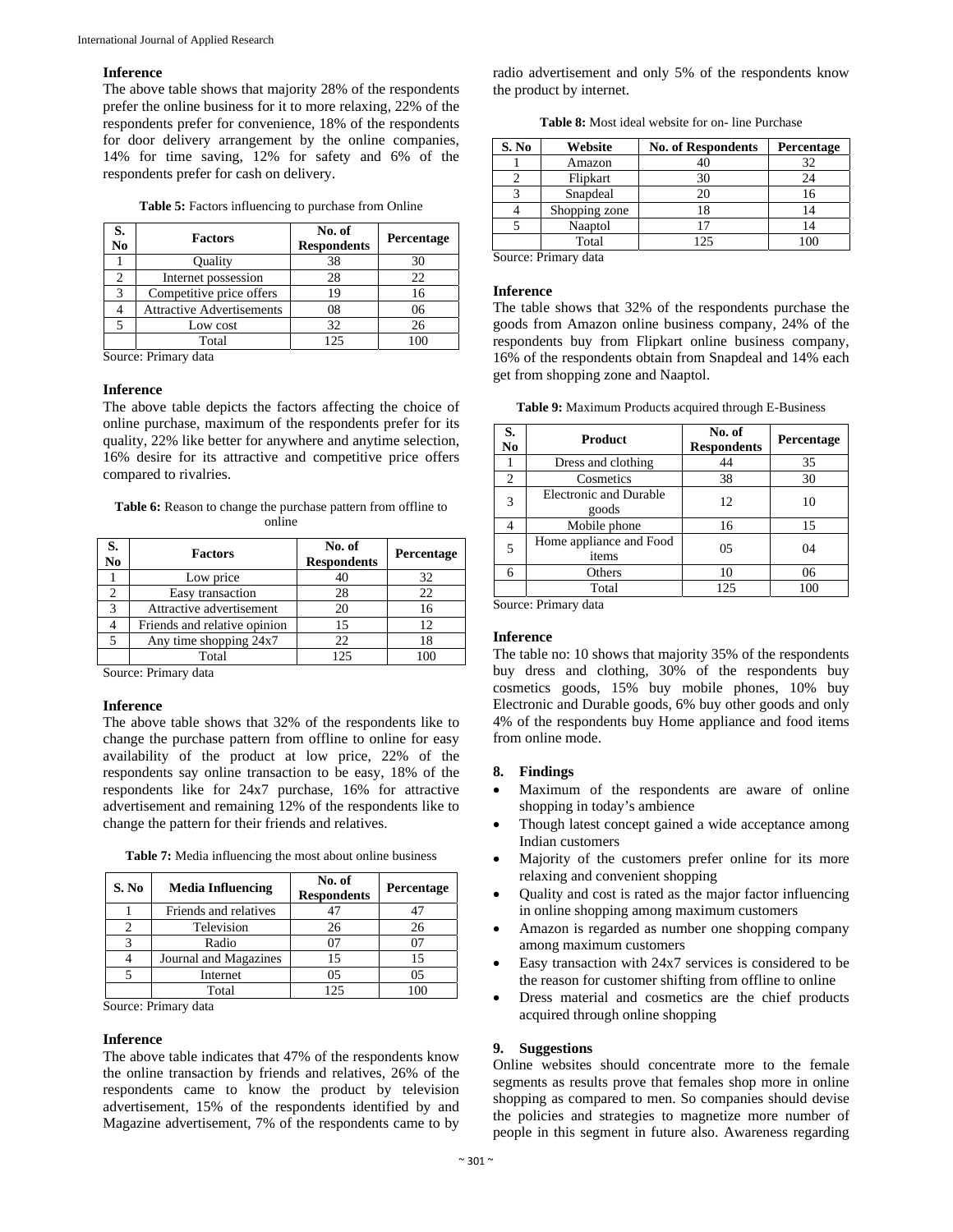#### **Inference**

The above table shows that majority 28% of the respondents prefer the online business for it to more relaxing, 22% of the respondents prefer for convenience, 18% of the respondents for door delivery arrangement by the online companies, 14% for time saving, 12% for safety and 6% of the respondents prefer for cash on delivery.

| <b>Table 5:</b> Factors influencing to purchase from Online |  |
|-------------------------------------------------------------|--|
|-------------------------------------------------------------|--|

| S.<br>No | <b>Factors</b>                   | No. of<br><b>Respondents</b> | Percentage |
|----------|----------------------------------|------------------------------|------------|
|          | Ouality                          | 38                           | 30         |
| 2        | Internet possession              | 28                           | 22         |
| 3        | Competitive price offers         | 19                           | 16         |
|          | <b>Attractive Advertisements</b> | 08                           | 06         |
|          | Low cost                         | 32                           | 26         |
|          | Total                            | 125                          | 100        |

Source: Primary data

#### **Inference**

The above table depicts the factors affecting the choice of online purchase, maximum of the respondents prefer for its quality, 22% like better for anywhere and anytime selection, 16% desire for its attractive and competitive price offers compared to rivalries.

| <b>Table 6:</b> Reason to change the purchase pattern from offline to |        |  |
|-----------------------------------------------------------------------|--------|--|
|                                                                       | online |  |

| S.<br>$\overline{\text{No}}$ | <b>Factors</b>               | No. of<br><b>Respondents</b> | Percentage |
|------------------------------|------------------------------|------------------------------|------------|
|                              | Low price                    |                              | 32         |
|                              | Easy transaction             | 28                           | 22         |
|                              | Attractive advertisement     | 20                           | 16         |
|                              | Friends and relative opinion | 15                           | 12         |
|                              | Any time shopping 24x7       | 22.                          | 18         |
|                              | Total                        | 125                          |            |

Source: Primary data

#### **Inference**

The above table shows that 32% of the respondents like to change the purchase pattern from offline to online for easy availability of the product at low price, 22% of the respondents say online transaction to be easy, 18% of the respondents like for 24x7 purchase, 16% for attractive advertisement and remaining 12% of the respondents like to change the pattern for their friends and relatives.

|  | <b>Table 7:</b> Media influencing the most about online business |  |  |
|--|------------------------------------------------------------------|--|--|
|  |                                                                  |  |  |

| S. No | <b>Media Influencing</b> | No. of<br><b>Respondents</b> | Percentage     |
|-------|--------------------------|------------------------------|----------------|
|       | Friends and relatives    |                              | 47             |
|       | Television               | 26                           | 26             |
|       | Radio                    |                              |                |
|       | Journal and Magazines    | 15                           | 15             |
|       | Internet                 | 05                           | 0 <sub>5</sub> |
|       | Total                    | 125                          |                |

Source: Primary data

#### **Inference**

The above table indicates that 47% of the respondents know the online transaction by friends and relatives, 26% of the respondents came to know the product by television advertisement, 15% of the respondents identified by and Magazine advertisement, 7% of the respondents came to by

radio advertisement and only 5% of the respondents know the product by internet.

**Table 8:** Most ideal website for on- line Purchase

| S. No | Website          | <b>No. of Respondents</b> | Percentage |
|-------|------------------|---------------------------|------------|
|       | Amazon           |                           | 32         |
|       | Flipkart         | 30                        | 24         |
|       | Snapdeal         | 20                        | 16         |
|       | Shopping zone    | 18                        | 14         |
|       | Naaptol          |                           | 14         |
|       | Total            | 125                       | LOC        |
|       | 0. <b>n</b> . 1. |                           |            |

Source: Primary data

#### **Inference**

The table shows that 32% of the respondents purchase the goods from Amazon online business company, 24% of the respondents buy from Flipkart online business company, 16% of the respondents obtain from Snapdeal and 14% each get from shopping zone and Naaptol.

| S.<br>N <sub>0</sub> | Product                                | No. of<br><b>Respondents</b> | Percentage |
|----------------------|----------------------------------------|------------------------------|------------|
|                      | Dress and clothing                     | 44                           | 35         |
| $\overline{c}$       | Cosmetics                              | 38                           | 30         |
| $\mathcal{R}$        | <b>Electronic and Durable</b><br>goods | 12                           | 10         |
|                      | Mobile phone                           | 16                           | 15         |
| 5                    | Home appliance and Food<br>items       | 0.5                          | 04         |
|                      | Others                                 | 10                           | 06         |
|                      | Total                                  | 125                          | 100        |

Source: Primary data

# **Inference**

The table no: 10 shows that majority 35% of the respondents buy dress and clothing, 30% of the respondents buy cosmetics goods, 15% buy mobile phones, 10% buy Electronic and Durable goods, 6% buy other goods and only 4% of the respondents buy Home appliance and food items from online mode.

# **8. Findings**

- Maximum of the respondents are aware of online shopping in today's ambience
- Though latest concept gained a wide acceptance among Indian customers
- Majority of the customers prefer online for its more relaxing and convenient shopping
- Quality and cost is rated as the major factor influencing in online shopping among maximum customers
- Amazon is regarded as number one shopping company among maximum customers
- Easy transaction with 24x7 services is considered to be the reason for customer shifting from offline to online
- Dress material and cosmetics are the chief products acquired through online shopping

#### **9. Suggestions**

Online websites should concentrate more to the female segments as results prove that females shop more in online shopping as compared to men. So companies should devise the policies and strategies to magnetize more number of people in this segment in future also. Awareness regarding